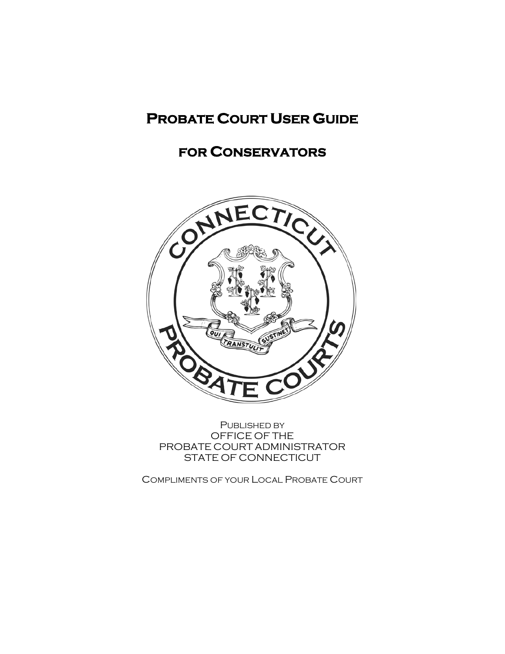# **PROBATE COURT USER GUIDE**

# **FOR CONSERVATORS**



PUBLISHED BY OFFICE OF THE PROBATE COURT ADMINISTRATOR STATE OF CONNECTICUT

COMPLIMENTS OF YOUR LOCAL PROBATE COURT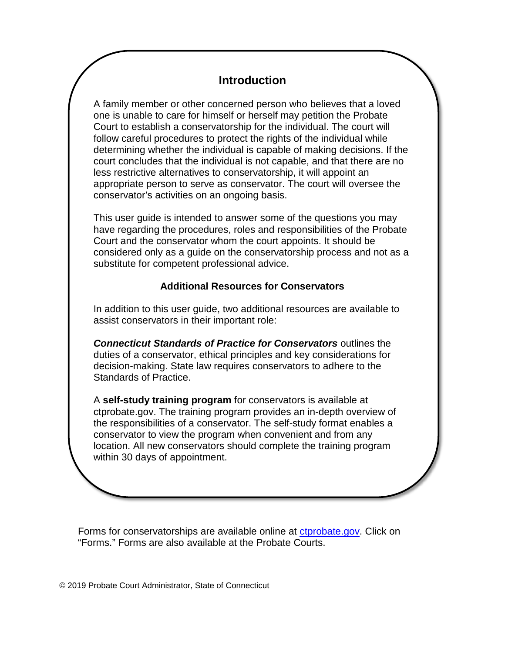### **Introduction**

A family member or other concerned person who believes that a loved one is unable to care for himself or herself may petition the Probate Court to establish a conservatorship for the individual. The court will follow careful procedures to protect the rights of the individual while determining whether the individual is capable of making decisions. If the court concludes that the individual is not capable, and that there are no less restrictive alternatives to conservatorship, it will appoint an appropriate person to serve as conservator. The court will oversee the conservator's activities on an ongoing basis.

This user guide is intended to answer some of the questions you may have regarding the procedures, roles and responsibilities of the Probate Court and the conservator whom the court appoints. It should be considered only as a guide on the conservatorship process and not as a substitute for competent professional advice.

#### **Additional Resources for Conservators**

In addition to this user guide, two additional resources are available to assist conservators in their important role:

*Connecticut Standards of Practice for Conservators* outlines the duties of a conservator, ethical principles and key considerations for decision-making. State law requires conservators to adhere to the Standards of Practice.

A **self-study training program** for conservators is available at ctprobate.gov. The training program provides an in-depth overview of the responsibilities of a conservator. The self-study format enables a conservator to view the program when convenient and from any location. All new conservators should complete the training program within 30 days of appointment.

Forms for conservatorships are available online at [ctprobate.gov.](http://www.ctprobate.gov/) Click on "Forms." Forms are also available at the Probate Courts.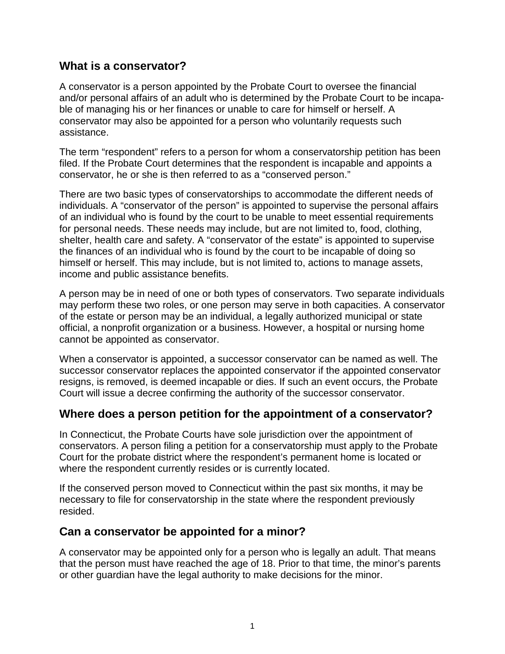#### **What is a conservator?**

A conservator is a person appointed by the Probate Court to oversee the financial and/or personal affairs of an adult who is determined by the Probate Court to be incapable of managing his or her finances or unable to care for himself or herself. A conservator may also be appointed for a person who voluntarily requests such assistance.

The term "respondent" refers to a person for whom a conservatorship petition has been filed. If the Probate Court determines that the respondent is incapable and appoints a conservator, he or she is then referred to as a "conserved person."

There are two basic types of conservatorships to accommodate the different needs of individuals. A "conservator of the person" is appointed to supervise the personal affairs of an individual who is found by the court to be unable to meet essential requirements for personal needs. These needs may include, but are not limited to, food, clothing, shelter, health care and safety. A "conservator of the estate" is appointed to supervise the finances of an individual who is found by the court to be incapable of doing so himself or herself. This may include, but is not limited to, actions to manage assets, income and public assistance benefits.

A person may be in need of one or both types of conservators. Two separate individuals may perform these two roles, or one person may serve in both capacities. A conservator of the estate or person may be an individual, a legally authorized municipal or state official, a nonprofit organization or a business. However, a hospital or nursing home cannot be appointed as conservator.

When a conservator is appointed, a successor conservator can be named as well. The successor conservator replaces the appointed conservator if the appointed conservator resigns, is removed, is deemed incapable or dies. If such an event occurs, the Probate Court will issue a decree confirming the authority of the successor conservator.

#### **Where does a person petition for the appointment of a conservator?**

In Connecticut, the Probate Courts have sole jurisdiction over the appointment of conservators. A person filing a petition for a conservatorship must apply to the Probate Court for the probate district where the respondent's permanent home is located or where the respondent currently resides or is currently located.

If the conserved person moved to Connecticut within the past six months, it may be necessary to file for conservatorship in the state where the respondent previously resided.

# **Can a conservator be appointed for a minor?**

A conservator may be appointed only for a person who is legally an adult. That means that the person must have reached the age of 18. Prior to that time, the minor's parents or other guardian have the legal authority to make decisions for the minor.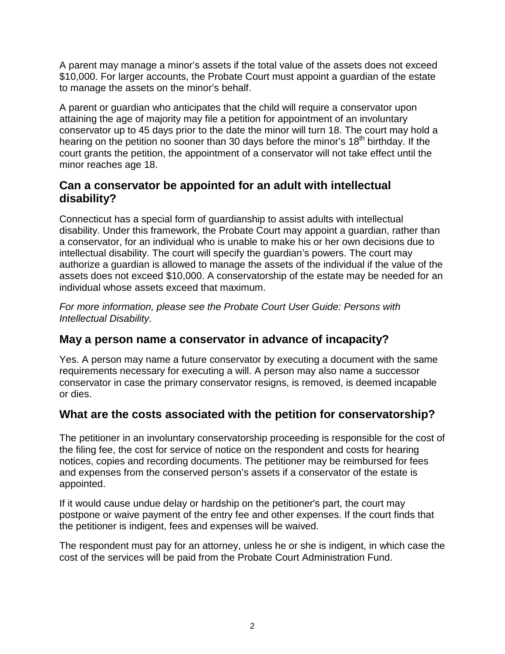A parent may manage a minor's assets if the total value of the assets does not exceed \$10,000. For larger accounts, the Probate Court must appoint a guardian of the estate to manage the assets on the minor's behalf.

A parent or guardian who anticipates that the child will require a conservator upon attaining the age of majority may file a petition for appointment of an involuntary conservator up to 45 days prior to the date the minor will turn 18. The court may hold a hearing on the petition no sooner than 30 days before the minor's 18<sup>th</sup> birthday. If the court grants the petition, the appointment of a conservator will not take effect until the minor reaches age 18.

#### **Can a conservator be appointed for an adult with intellectual disability?**

Connecticut has a special form of guardianship to assist adults with intellectual disability. Under this framework, the Probate Court may appoint a guardian, rather than a conservator, for an individual who is unable to make his or her own decisions due to intellectual disability. The court will specify the guardian's powers. The court may authorize a guardian is allowed to manage the assets of the individual if the value of the assets does not exceed \$10,000. A conservatorship of the estate may be needed for an individual whose assets exceed that maximum.

*For more information, please see the Probate Court User Guide: Persons with Intellectual Disability*.

### **May a person name a conservator in advance of incapacity?**

Yes. A person may name a future conservator by executing a document with the same requirements necessary for executing a will. A person may also name a successor conservator in case the primary conservator resigns, is removed, is deemed incapable or dies.

### **What are the costs associated with the petition for conservatorship?**

The petitioner in an involuntary conservatorship proceeding is responsible for the cost of the filing fee, the cost for service of notice on the respondent and costs for hearing notices, copies and recording documents. The petitioner may be reimbursed for fees and expenses from the conserved person's assets if a conservator of the estate is appointed.

If it would cause undue delay or hardship on the petitioner's part, the court may postpone or waive payment of the entry fee and other expenses. If the court finds that the petitioner is indigent, fees and expenses will be waived.

The respondent must pay for an attorney, unless he or she is indigent, in which case the cost of the services will be paid from the Probate Court Administration Fund.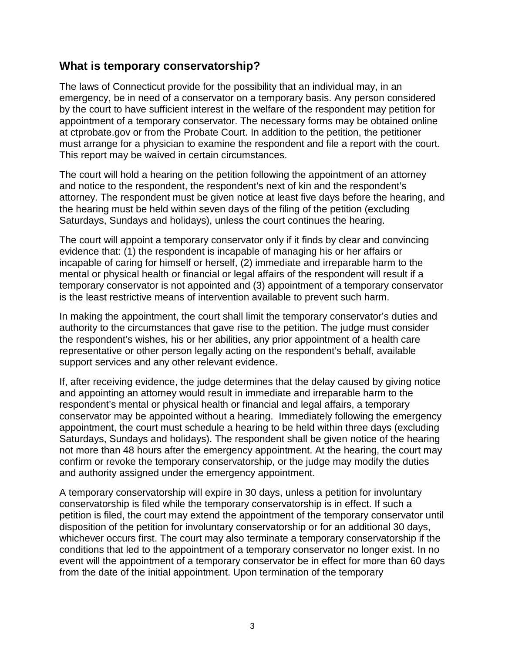#### **What is temporary conservatorship?**

The laws of Connecticut provide for the possibility that an individual may, in an emergency, be in need of a conservator on a temporary basis. Any person considered by the court to have sufficient interest in the welfare of the respondent may petition for appointment of a temporary conservator. The necessary forms may be obtained online at ctprobate.gov or from the Probate Court. In addition to the petition, the petitioner must arrange for a physician to examine the respondent and file a report with the court. This report may be waived in certain circumstances.

The court will hold a hearing on the petition following the appointment of an attorney and notice to the respondent, the respondent's next of kin and the respondent's attorney. The respondent must be given notice at least five days before the hearing, and the hearing must be held within seven days of the filing of the petition (excluding Saturdays, Sundays and holidays), unless the court continues the hearing.

The court will appoint a temporary conservator only if it finds by clear and convincing evidence that: (1) the respondent is incapable of managing his or her affairs or incapable of caring for himself or herself, (2) immediate and irreparable harm to the mental or physical health or financial or legal affairs of the respondent will result if a temporary conservator is not appointed and (3) appointment of a temporary conservator is the least restrictive means of intervention available to prevent such harm.

In making the appointment, the court shall limit the temporary conservator's duties and authority to the circumstances that gave rise to the petition. The judge must consider the respondent's wishes, his or her abilities, any prior appointment of a health care representative or other person legally acting on the respondent's behalf, available support services and any other relevant evidence.

If, after receiving evidence, the judge determines that the delay caused by giving notice and appointing an attorney would result in immediate and irreparable harm to the respondent's mental or physical health or financial and legal affairs, a temporary conservator may be appointed without a hearing. Immediately following the emergency appointment, the court must schedule a hearing to be held within three days (excluding Saturdays, Sundays and holidays). The respondent shall be given notice of the hearing not more than 48 hours after the emergency appointment. At the hearing, the court may confirm or revoke the temporary conservatorship, or the judge may modify the duties and authority assigned under the emergency appointment.

A temporary conservatorship will expire in 30 days, unless a petition for involuntary conservatorship is filed while the temporary conservatorship is in effect. If such a petition is filed, the court may extend the appointment of the temporary conservator until disposition of the petition for involuntary conservatorship or for an additional 30 days, whichever occurs first. The court may also terminate a temporary conservatorship if the conditions that led to the appointment of a temporary conservator no longer exist. In no event will the appointment of a temporary conservator be in effect for more than 60 days from the date of the initial appointment. Upon termination of the temporary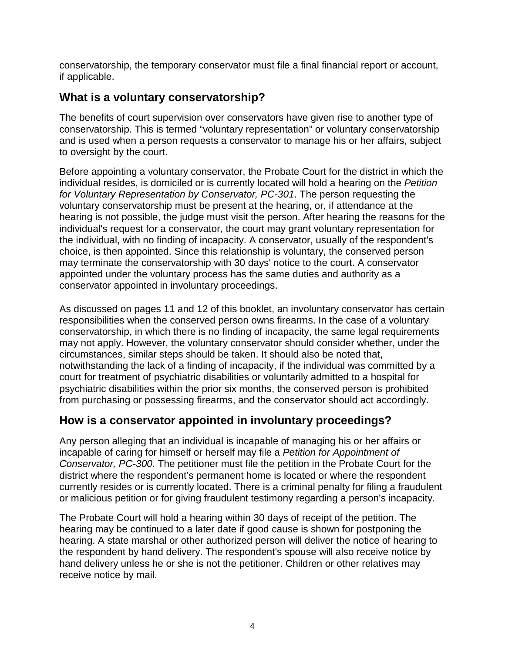conservatorship, the temporary conservator must file a final financial report or account, if applicable.

## **What is a voluntary conservatorship?**

The benefits of court supervision over conservators have given rise to another type of conservatorship. This is termed "voluntary representation" or voluntary conservatorship and is used when a person requests a conservator to manage his or her affairs, subject to oversight by the court.

Before appointing a voluntary conservator, the Probate Court for the district in which the individual resides, is domiciled or is currently located will hold a hearing on the *Petition for Voluntary Representation by Conservator, PC-301*. The person requesting the voluntary conservatorship must be present at the hearing, or, if attendance at the hearing is not possible, the judge must visit the person. After hearing the reasons for the individual's request for a conservator, the court may grant voluntary representation for the individual, with no finding of incapacity. A conservator, usually of the respondent's choice, is then appointed. Since this relationship is voluntary, the conserved person may terminate the conservatorship with 30 days' notice to the court. A conservator appointed under the voluntary process has the same duties and authority as a conservator appointed in involuntary proceedings.

As discussed on pages 11 and 12 of this booklet, an involuntary conservator has certain responsibilities when the conserved person owns firearms. In the case of a voluntary conservatorship, in which there is no finding of incapacity, the same legal requirements may not apply. However, the voluntary conservator should consider whether, under the circumstances, similar steps should be taken. It should also be noted that, notwithstanding the lack of a finding of incapacity, if the individual was committed by a court for treatment of psychiatric disabilities or voluntarily admitted to a hospital for psychiatric disabilities within the prior six months, the conserved person is prohibited from purchasing or possessing firearms, and the conservator should act accordingly.

### **How is a conservator appointed in involuntary proceedings?**

Any person alleging that an individual is incapable of managing his or her affairs or incapable of caring for himself or herself may file a *Petition for Appointment of Conservator, PC-300*. The petitioner must file the petition in the Probate Court for the district where the respondent's permanent home is located or where the respondent currently resides or is currently located. There is a criminal penalty for filing a fraudulent or malicious petition or for giving fraudulent testimony regarding a person's incapacity.

The Probate Court will hold a hearing within 30 days of receipt of the petition. The hearing may be continued to a later date if good cause is shown for postponing the hearing. A state marshal or other authorized person will deliver the notice of hearing to the respondent by hand delivery. The respondent's spouse will also receive notice by hand delivery unless he or she is not the petitioner. Children or other relatives may receive notice by mail.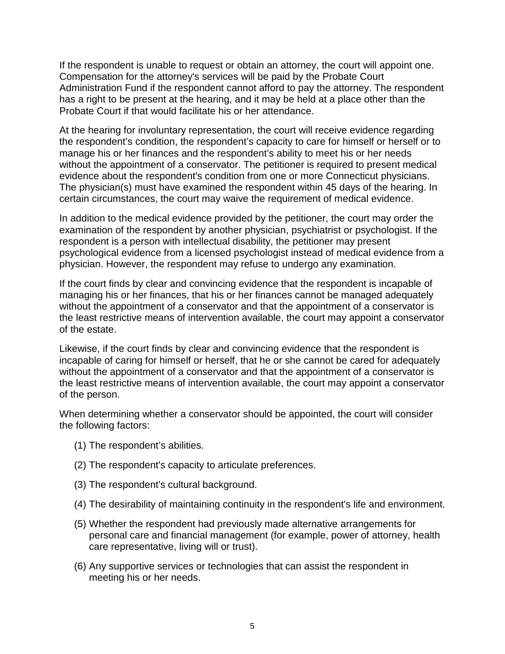If the respondent is unable to request or obtain an attorney, the court will appoint one. Compensation for the attorney's services will be paid by the Probate Court Administration Fund if the respondent cannot afford to pay the attorney. The respondent has a right to be present at the hearing, and it may be held at a place other than the Probate Court if that would facilitate his or her attendance.

At the hearing for involuntary representation, the court will receive evidence regarding the respondent's condition, the respondent's capacity to care for himself or herself or to manage his or her finances and the respondent's ability to meet his or her needs without the appointment of a conservator. The petitioner is required to present medical evidence about the respondent's condition from one or more Connecticut physicians. The physician(s) must have examined the respondent within 45 days of the hearing. In certain circumstances, the court may waive the requirement of medical evidence.

In addition to the medical evidence provided by the petitioner, the court may order the examination of the respondent by another physician, psychiatrist or psychologist. If the respondent is a person with intellectual disability, the petitioner may present psychological evidence from a licensed psychologist instead of medical evidence from a physician. However, the respondent may refuse to undergo any examination.

If the court finds by clear and convincing evidence that the respondent is incapable of managing his or her finances, that his or her finances cannot be managed adequately without the appointment of a conservator and that the appointment of a conservator is the least restrictive means of intervention available, the court may appoint a conservator of the estate.

Likewise, if the court finds by clear and convincing evidence that the respondent is incapable of caring for himself or herself, that he or she cannot be cared for adequately without the appointment of a conservator and that the appointment of a conservator is the least restrictive means of intervention available, the court may appoint a conservator of the person.

When determining whether a conservator should be appointed, the court will consider the following factors:

- (1) The respondent's abilities.
- (2) The respondent's capacity to articulate preferences.
- (3) The respondent's cultural background.
- (4) The desirability of maintaining continuity in the respondent's life and environment.
- (5) Whether the respondent had previously made alternative arrangements for personal care and financial management (for example, power of attorney, health care representative, living will or trust).
- (6) Any supportive services or technologies that can assist the respondent in meeting his or her needs.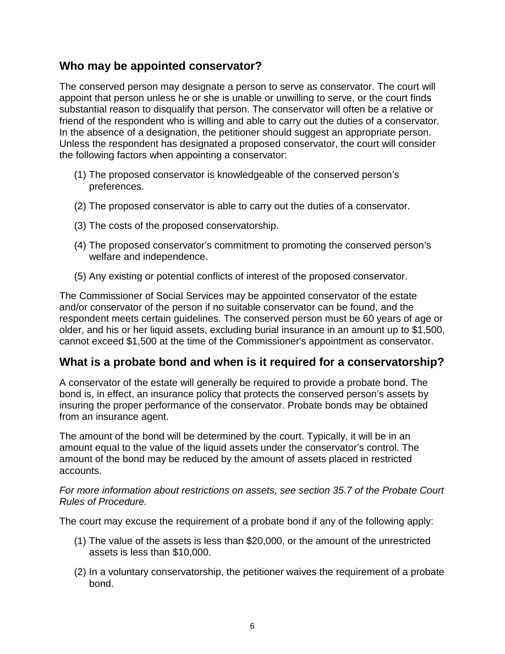#### **Who may be appointed conservator?**

The conserved person may designate a person to serve as conservator. The court will appoint that person unless he or she is unable or unwilling to serve, or the court finds substantial reason to disqualify that person. The conservator will often be a relative or friend of the respondent who is willing and able to carry out the duties of a conservator. In the absence of a designation, the petitioner should suggest an appropriate person. Unless the respondent has designated a proposed conservator, the court will consider the following factors when appointing a conservator:

- (1) The proposed conservator is knowledgeable of the conserved person's preferences.
- (2) The proposed conservator is able to carry out the duties of a conservator.
- (3) The costs of the proposed conservatorship.
- (4) The proposed conservator's commitment to promoting the conserved person's welfare and independence.
- (5) Any existing or potential conflicts of interest of the proposed conservator.

The Commissioner of Social Services may be appointed conservator of the estate and/or conservator of the person if no suitable conservator can be found, and the respondent meets certain guidelines. The conserved person must be 60 years of age or older, and his or her liquid assets, excluding burial insurance in an amount up to \$1,500, cannot exceed \$1,500 at the time of the Commissioner's appointment as conservator.

### **What is a probate bond and when is it required for a conservatorship?**

A conservator of the estate will generally be required to provide a probate bond. The bond is, in effect, an insurance policy that protects the conserved person's assets by insuring the proper performance of the conservator. Probate bonds may be obtained from an insurance agent.

The amount of the bond will be determined by the court. Typically, it will be in an amount equal to the value of the liquid assets under the conservator's control. The amount of the bond may be reduced by the amount of assets placed in restricted accounts.

*For more information about restrictions on assets, see section 35.7 of the Probate Court Rules of Procedure.* 

The court may excuse the requirement of a probate bond if any of the following apply:

- (1) The value of the assets is less than \$20,000, or the amount of the unrestricted assets is less than \$10,000.
- (2) In a voluntary conservatorship, the petitioner waives the requirement of a probate bond.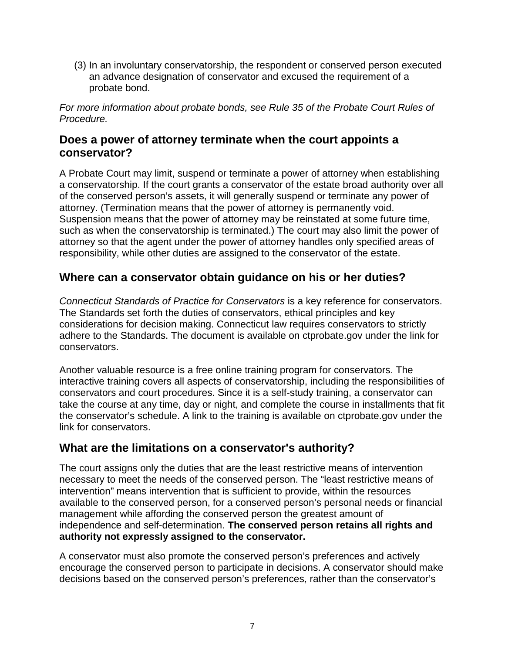(3) In an involuntary conservatorship, the respondent or conserved person executed an advance designation of conservator and excused the requirement of a probate bond.

*For more information about probate bonds, see Rule 35 of the Probate Court Rules of Procedure.*

#### **Does a power of attorney terminate when the court appoints a conservator?**

A Probate Court may limit, suspend or terminate a power of attorney when establishing a conservatorship. If the court grants a conservator of the estate broad authority over all of the conserved person's assets, it will generally suspend or terminate any power of attorney. (Termination means that the power of attorney is permanently void. Suspension means that the power of attorney may be reinstated at some future time, such as when the conservatorship is terminated.) The court may also limit the power of attorney so that the agent under the power of attorney handles only specified areas of responsibility, while other duties are assigned to the conservator of the estate.

#### **Where can a conservator obtain guidance on his or her duties?**

*Connecticut Standards of Practice for Conservators* is a key reference for conservators. The Standards set forth the duties of conservators, ethical principles and key considerations for decision making. Connecticut law requires conservators to strictly adhere to the Standards. The document is available on ctprobate.gov under the link for conservators.

Another valuable resource is a free online training program for conservators. The interactive training covers all aspects of conservatorship, including the responsibilities of conservators and court procedures. Since it is a self-study training, a conservator can take the course at any time, day or night, and complete the course in installments that fit the conservator's schedule. A link to the training is available on ctprobate.gov under the link for conservators.

#### **What are the limitations on a conservator's authority?**

The court assigns only the duties that are the least restrictive means of intervention necessary to meet the needs of the conserved person. The "least restrictive means of intervention" means intervention that is sufficient to provide, within the resources available to the conserved person, for a conserved person's personal needs or financial management while affording the conserved person the greatest amount of independence and self-determination. **The conserved person retains all rights and authority not expressly assigned to the conservator.**

A conservator must also promote the conserved person's preferences and actively encourage the conserved person to participate in decisions. A conservator should make decisions based on the conserved person's preferences, rather than the conservator's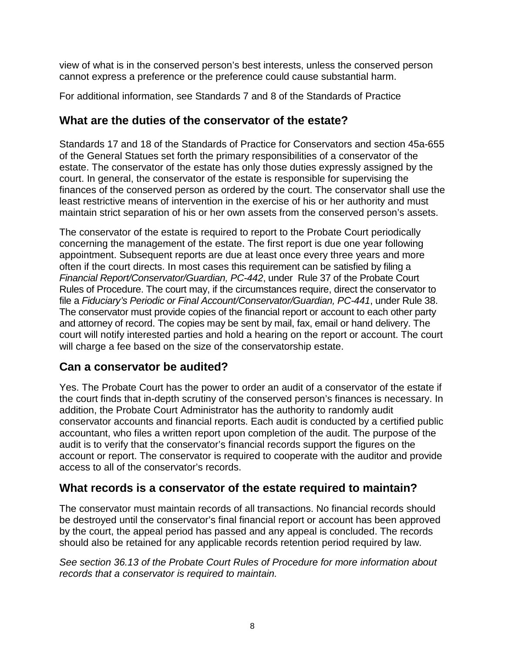view of what is in the conserved person's best interests, unless the conserved person cannot express a preference or the preference could cause substantial harm.

For additional information, see Standards 7 and 8 of the Standards of Practice

#### **What are the duties of the conservator of the estate?**

Standards 17 and 18 of the Standards of Practice for Conservators and section 45a-655 of the General Statues set forth the primary responsibilities of a conservator of the estate. The conservator of the estate has only those duties expressly assigned by the court. In general, the conservator of the estate is responsible for supervising the finances of the conserved person as ordered by the court. The conservator shall use the least restrictive means of intervention in the exercise of his or her authority and must maintain strict separation of his or her own assets from the conserved person's assets.

The conservator of the estate is required to report to the Probate Court periodically concerning the management of the estate. The first report is due one year following appointment. Subsequent reports are due at least once every three years and more often if the court directs. In most cases this requirement can be satisfied by filing a *Financial Report/Conservator/Guardian, PC-442*, under Rule 37 of the Probate Court Rules of Procedure. The court may, if the circumstances require, direct the conservator to file a *Fiduciary's Periodic or Final Account/Conservator/Guardian, PC-441*, under Rule 38. The conservator must provide copies of the financial report or account to each other party and attorney of record. The copies may be sent by mail, fax, email or hand delivery. The court will notify interested parties and hold a hearing on the report or account. The court will charge a fee based on the size of the conservatorship estate.

### **Can a conservator be audited?**

Yes. The Probate Court has the power to order an audit of a conservator of the estate if the court finds that in-depth scrutiny of the conserved person's finances is necessary. In addition, the Probate Court Administrator has the authority to randomly audit conservator accounts and financial reports. Each audit is conducted by a certified public accountant, who files a written report upon completion of the audit. The purpose of the audit is to verify that the conservator's financial records support the figures on the account or report. The conservator is required to cooperate with the auditor and provide access to all of the conservator's records.

### **What records is a conservator of the estate required to maintain?**

The conservator must maintain records of all transactions. No financial records should be destroyed until the conservator's final financial report or account has been approved by the court, the appeal period has passed and any appeal is concluded. The records should also be retained for any applicable records retention period required by law.

*See section 36.13 of the Probate Court Rules of Procedure for more information about records that a conservator is required to maintain.*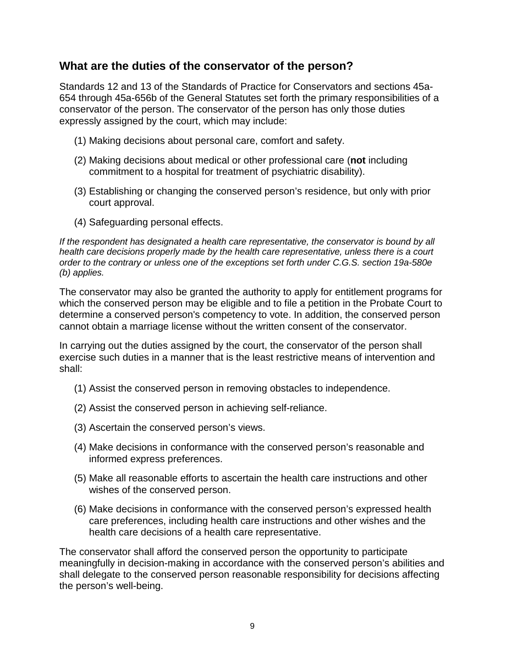#### **What are the duties of the conservator of the person?**

Standards 12 and 13 of the Standards of Practice for Conservators and sections 45a-654 through 45a-656b of the General Statutes set forth the primary responsibilities of a conservator of the person. The conservator of the person has only those duties expressly assigned by the court, which may include:

- (1) Making decisions about personal care, comfort and safety.
- (2) Making decisions about medical or other professional care (**not** including commitment to a hospital for treatment of psychiatric disability).
- (3) Establishing or changing the conserved person's residence, but only with prior court approval.
- (4) Safeguarding personal effects.

*If the respondent has designated a health care representative, the conservator is bound by all health care decisions properly made by the health care representative, unless there is a court order to the contrary or unless one of the exceptions set forth under C.G.S. section 19a-580e (b) applies.* 

The conservator may also be granted the authority to apply for entitlement programs for which the conserved person may be eligible and to file a petition in the Probate Court to determine a conserved person's competency to vote. In addition, the conserved person cannot obtain a marriage license without the written consent of the conservator.

In carrying out the duties assigned by the court, the conservator of the person shall exercise such duties in a manner that is the least restrictive means of intervention and shall:

- (1) Assist the conserved person in removing obstacles to independence.
- (2) Assist the conserved person in achieving self-reliance.
- (3) Ascertain the conserved person's views.
- (4) Make decisions in conformance with the conserved person's reasonable and informed express preferences.
- (5) Make all reasonable efforts to ascertain the health care instructions and other wishes of the conserved person.
- (6) Make decisions in conformance with the conserved person's expressed health care preferences, including health care instructions and other wishes and the health care decisions of a health care representative.

The conservator shall afford the conserved person the opportunity to participate meaningfully in decision-making in accordance with the conserved person's abilities and shall delegate to the conserved person reasonable responsibility for decisions affecting the person's well-being.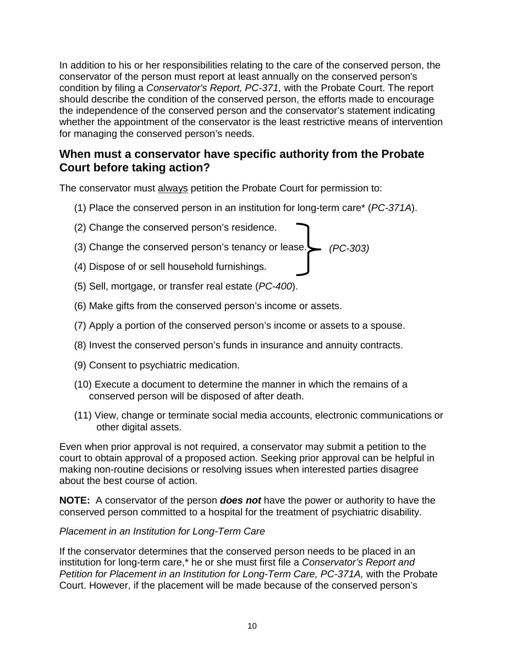In addition to his or her responsibilities relating to the care of the conserved person, the conservator of the person must report at least annually on the conserved person's condition by filing a *Conservator's Report, PC-371,* with the Probate Court. The report should describe the condition of the conserved person, the efforts made to encourage the independence of the conserved person and the conservator's statement indicating whether the appointment of the conservator is the least restrictive means of intervention for managing the conserved person's needs.

# **When must a conservator have specific authority from the Probate Court before taking action?**

The conservator must always petition the Probate Court for permission to:

- (1) Place the conserved person in an institution for long-term care\* (*PC-371A*).
- (2) Change the conserved person's residence.
- (3) Change the conserved person's tenancy or lease. *(PC-303)*
- (4) Dispose of or sell household furnishings.
- (5) Sell, mortgage, or transfer real estate (*PC-400*).
- (6) Make gifts from the conserved person's income or assets.
- (7) Apply a portion of the conserved person's income or assets to a spouse.
- (8) Invest the conserved person's funds in insurance and annuity contracts.
- (9) Consent to psychiatric medication.
- (10) Execute a document to determine the manner in which the remains of a conserved person will be disposed of after death.
- (11) View, change or terminate social media accounts, electronic communications or other digital assets.

Even when prior approval is not required, a conservator may submit a petition to the court to obtain approval of a proposed action. Seeking prior approval can be helpful in making non-routine decisions or resolving issues when interested parties disagree about the best course of action.

**NOTE:** A conservator of the person *does not* have the power or authority to have the conserved person committed to a hospital for the treatment of psychiatric disability.

#### *Placement in an Institution for Long-Term Care*

If the conservator determines that the conserved person needs to be placed in an institution for long-term care,\* he or she must first file a *Conservator's Report and Petition for Placement in an Institution for Long-Term Care, PC-371A,* with the Probate Court. However, if the placement will be made because of the conserved person's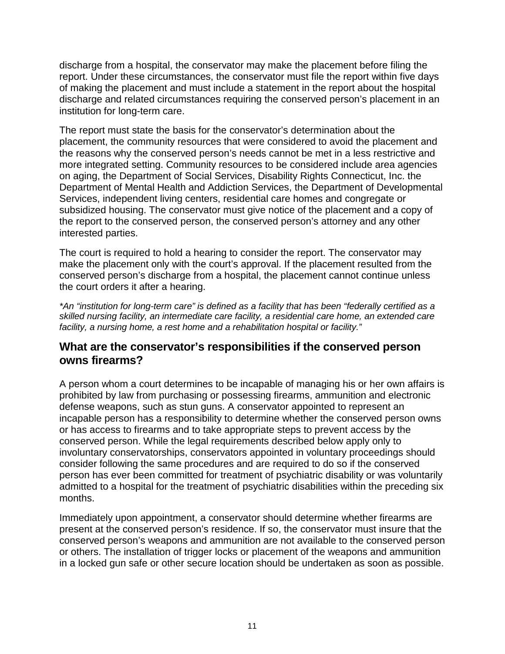discharge from a hospital, the conservator may make the placement before filing the report. Under these circumstances, the conservator must file the report within five days of making the placement and must include a statement in the report about the hospital discharge and related circumstances requiring the conserved person's placement in an institution for long-term care.

The report must state the basis for the conservator's determination about the placement, the community resources that were considered to avoid the placement and the reasons why the conserved person's needs cannot be met in a less restrictive and more integrated setting. Community resources to be considered include area agencies on aging, the Department of Social Services, Disability Rights Connecticut, Inc. the Department of Mental Health and Addiction Services, the Department of Developmental Services, independent living centers, residential care homes and congregate or subsidized housing. The conservator must give notice of the placement and a copy of the report to the conserved person, the conserved person's attorney and any other interested parties.

The court is required to hold a hearing to consider the report. The conservator may make the placement only with the court's approval. If the placement resulted from the conserved person's discharge from a hospital, the placement cannot continue unless the court orders it after a hearing.

*\*An "institution for long-term care" is defined as a facility that has been "federally certified as a skilled nursing facility, an intermediate care facility, a residential care home, an extended care facility, a nursing home, a rest home and a rehabilitation hospital or facility."*

#### **What are the conservator's responsibilities if the conserved person owns firearms?**

A person whom a court determines to be incapable of managing his or her own affairs is prohibited by law from purchasing or possessing firearms, ammunition and electronic defense weapons, such as stun guns. A conservator appointed to represent an incapable person has a responsibility to determine whether the conserved person owns or has access to firearms and to take appropriate steps to prevent access by the conserved person. While the legal requirements described below apply only to involuntary conservatorships, conservators appointed in voluntary proceedings should consider following the same procedures and are required to do so if the conserved person has ever been committed for treatment of psychiatric disability or was voluntarily admitted to a hospital for the treatment of psychiatric disabilities within the preceding six months.

Immediately upon appointment, a conservator should determine whether firearms are present at the conserved person's residence. If so, the conservator must insure that the conserved person's weapons and ammunition are not available to the conserved person or others. The installation of trigger locks or placement of the weapons and ammunition in a locked gun safe or other secure location should be undertaken as soon as possible.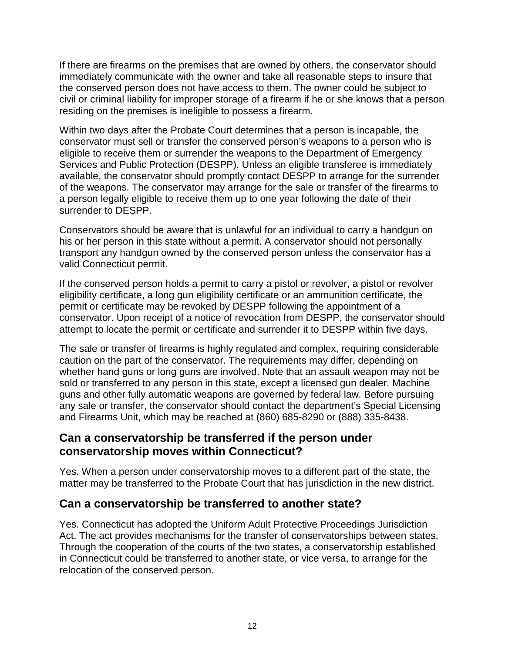If there are firearms on the premises that are owned by others, the conservator should immediately communicate with the owner and take all reasonable steps to insure that the conserved person does not have access to them. The owner could be subject to civil or criminal liability for improper storage of a firearm if he or she knows that a person residing on the premises is ineligible to possess a firearm.

Within two days after the Probate Court determines that a person is incapable, the conservator must sell or transfer the conserved person's weapons to a person who is eligible to receive them or surrender the weapons to the Department of Emergency Services and Public Protection (DESPP). Unless an eligible transferee is immediately available, the conservator should promptly contact DESPP to arrange for the surrender of the weapons. The conservator may arrange for the sale or transfer of the firearms to a person legally eligible to receive them up to one year following the date of their surrender to DESPP.

Conservators should be aware that is unlawful for an individual to carry a handgun on his or her person in this state without a permit. A conservator should not personally transport any handgun owned by the conserved person unless the conservator has a valid Connecticut permit.

If the conserved person holds a permit to carry a pistol or revolver, a pistol or revolver eligibility certificate, a long gun eligibility certificate or an ammunition certificate, the permit or certificate may be revoked by DESPP following the appointment of a conservator. Upon receipt of a notice of revocation from DESPP, the conservator should attempt to locate the permit or certificate and surrender it to DESPP within five days.

The sale or transfer of firearms is highly regulated and complex, requiring considerable caution on the part of the conservator. The requirements may differ, depending on whether hand guns or long guns are involved. Note that an assault weapon may not be sold or transferred to any person in this state, except a licensed gun dealer. Machine guns and other fully automatic weapons are governed by federal law. Before pursuing any sale or transfer, the conservator should contact the department's Special Licensing and Firearms Unit, which may be reached at (860) 685-8290 or (888) 335-8438.

#### **Can a conservatorship be transferred if the person under conservatorship moves within Connecticut?**

Yes. When a person under conservatorship moves to a different part of the state, the matter may be transferred to the Probate Court that has jurisdiction in the new district.

### **Can a conservatorship be transferred to another state?**

Yes. Connecticut has adopted the Uniform Adult Protective Proceedings Jurisdiction Act. The act provides mechanisms for the transfer of conservatorships between states. Through the cooperation of the courts of the two states, a conservatorship established in Connecticut could be transferred to another state, or vice versa, to arrange for the relocation of the conserved person.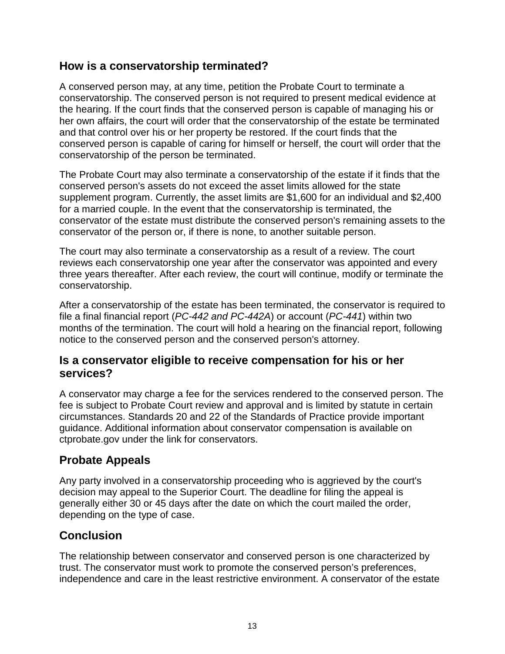#### **How is a conservatorship terminated?**

A conserved person may, at any time, petition the Probate Court to terminate a conservatorship. The conserved person is not required to present medical evidence at the hearing. If the court finds that the conserved person is capable of managing his or her own affairs, the court will order that the conservatorship of the estate be terminated and that control over his or her property be restored. If the court finds that the conserved person is capable of caring for himself or herself, the court will order that the conservatorship of the person be terminated.

The Probate Court may also terminate a conservatorship of the estate if it finds that the conserved person's assets do not exceed the asset limits allowed for the state supplement program. Currently, the asset limits are \$1,600 for an individual and \$2,400 for a married couple. In the event that the conservatorship is terminated, the conservator of the estate must distribute the conserved person's remaining assets to the conservator of the person or, if there is none, to another suitable person.

The court may also terminate a conservatorship as a result of a review. The court reviews each conservatorship one year after the conservator was appointed and every three years thereafter. After each review, the court will continue, modify or terminate the conservatorship.

After a conservatorship of the estate has been terminated, the conservator is required to file a final financial report (*PC-442 and PC-442A*) or account (*PC-441*) within two months of the termination. The court will hold a hearing on the financial report, following notice to the conserved person and the conserved person's attorney.

#### **Is a conservator eligible to receive compensation for his or her services?**

A conservator may charge a fee for the services rendered to the conserved person. The fee is subject to Probate Court review and approval and is limited by statute in certain circumstances. Standards 20 and 22 of the Standards of Practice provide important guidance. Additional information about conservator compensation is available on ctprobate.gov under the link for conservators.

# **Probate Appeals**

Any party involved in a conservatorship proceeding who is aggrieved by the court's decision may appeal to the Superior Court. The deadline for filing the appeal is generally either 30 or 45 days after the date on which the court mailed the order, depending on the type of case.

# **Conclusion**

The relationship between conservator and conserved person is one characterized by trust. The conservator must work to promote the conserved person's preferences, independence and care in the least restrictive environment. A conservator of the estate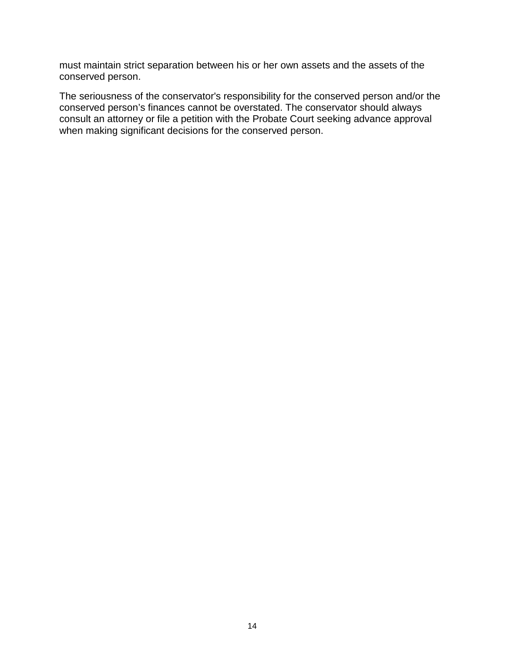must maintain strict separation between his or her own assets and the assets of the conserved person.

The seriousness of the conservator's responsibility for the conserved person and/or the conserved person's finances cannot be overstated. The conservator should always consult an attorney or file a petition with the Probate Court seeking advance approval when making significant decisions for the conserved person.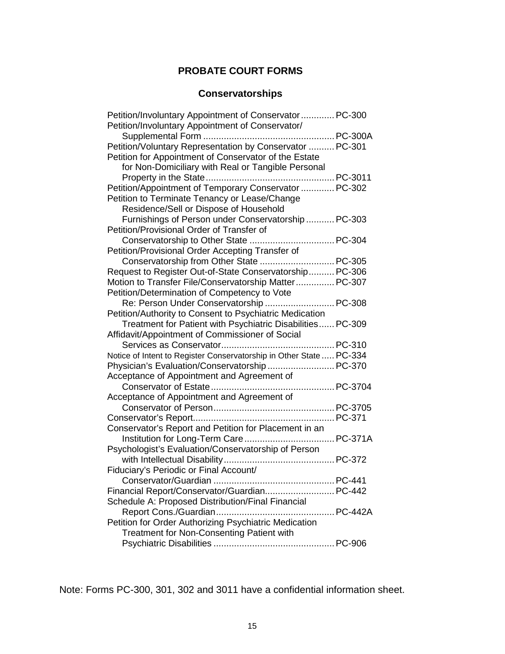#### **PROBATE COURT FORMS**

## **Conservatorships**

| Petition/Involuntary Appointment of Conservator  PC-300             |        |
|---------------------------------------------------------------------|--------|
| Petition/Involuntary Appointment of Conservator/                    |        |
|                                                                     |        |
| Petition/Voluntary Representation by Conservator  PC-301            |        |
| Petition for Appointment of Conservator of the Estate               |        |
| for Non-Domiciliary with Real or Tangible Personal                  |        |
|                                                                     |        |
| Petition/Appointment of Temporary Conservator  PC-302               |        |
| Petition to Terminate Tenancy or Lease/Change                       |        |
| Residence/Sell or Dispose of Household                              |        |
| Furnishings of Person under Conservatorship  PC-303                 |        |
| Petition/Provisional Order of Transfer of                           |        |
|                                                                     |        |
| Petition/Provisional Order Accepting Transfer of                    |        |
| Conservatorship from Other State  PC-305                            |        |
| Request to Register Out-of-State Conservatorship PC-306             |        |
| Motion to Transfer File/Conservatorship Matter PC-307               |        |
| Petition/Determination of Competency to Vote                        |        |
| Re: Person Under Conservatorship  PC-308                            |        |
| Petition/Authority to Consent to Psychiatric Medication             |        |
| Treatment for Patient with Psychiatric Disabilities PC-309          |        |
| Affidavit/Appointment of Commissioner of Social                     |        |
|                                                                     |        |
| Notice of Intent to Register Conservatorship in Other State  PC-334 |        |
| Physician's Evaluation/Conservatorship PC-370                       |        |
| Acceptance of Appointment and Agreement of                          |        |
|                                                                     |        |
| Acceptance of Appointment and Agreement of                          |        |
|                                                                     |        |
|                                                                     |        |
| Conservator's Report and Petition for Placement in an               |        |
|                                                                     |        |
| Psychologist's Evaluation/Conservatorship of Person                 |        |
|                                                                     |        |
| Fiduciary's Periodic or Final Account/                              |        |
|                                                                     | PC-441 |
| Financial Report/Conservator/Guardian PC-442                        |        |
| Schedule A: Proposed Distribution/Final Financial                   |        |
|                                                                     |        |
| Petition for Order Authorizing Psychiatric Medication               |        |
| Treatment for Non-Consenting Patient with                           |        |
|                                                                     |        |

Note: Forms PC-300, 301, 302 and 3011 have a confidential information sheet.